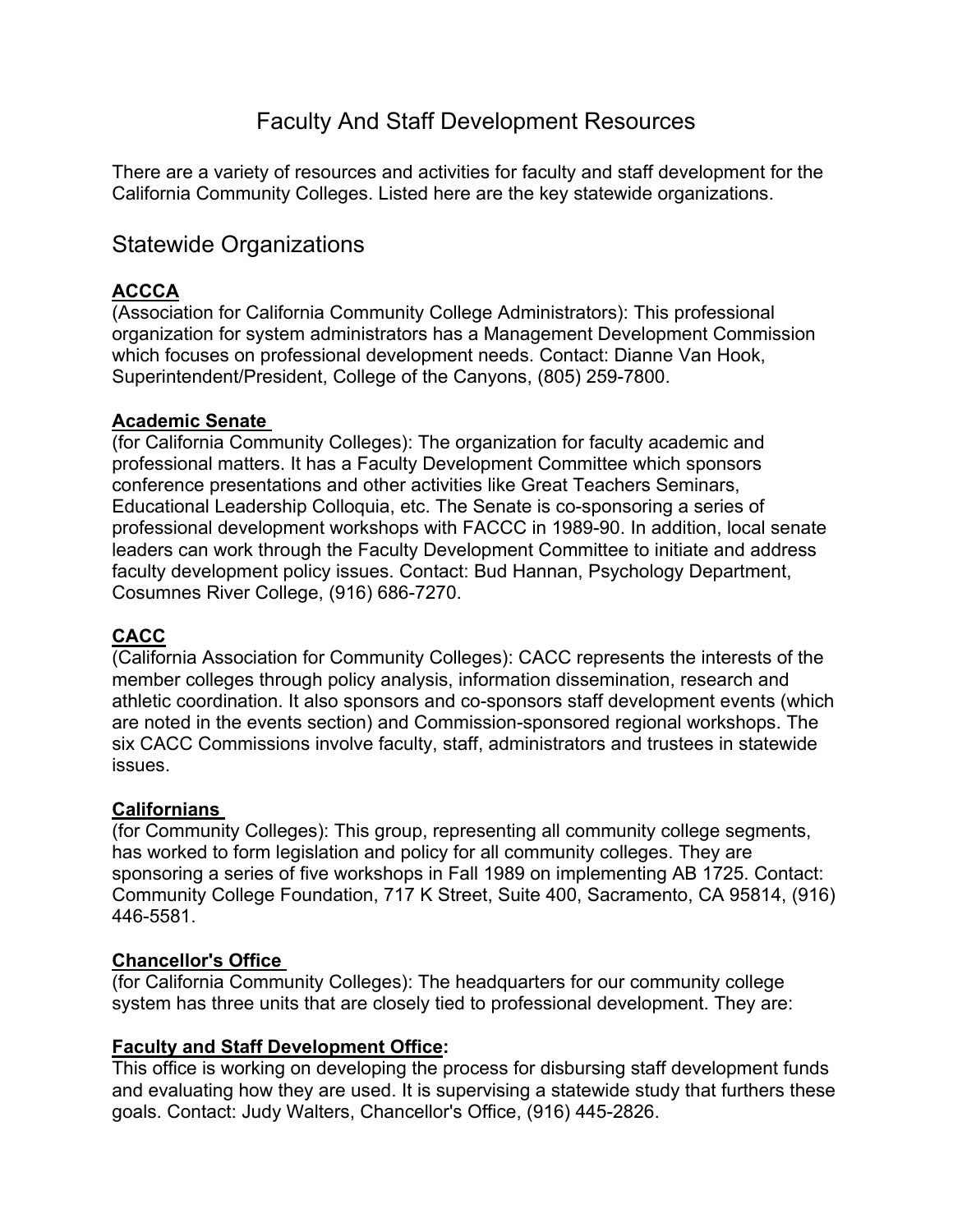# Faculty And Staff Development Resources

There are a variety of resources and activities for faculty and staff development for the California Community Colleges. Listed here are the key statewide organizations.

## Statewide Organizations

## **ACCCA**

(Association for California Community College Administrators): This professional organization for system administrators has a Management Development Commission which focuses on professional development needs. Contact: Dianne Van Hook, Superintendent/President, College of the Canyons, (805) 259-7800.

#### **Academic Senate**

(for California Community Colleges): The organization for faculty academic and professional matters. It has a Faculty Development Committee which sponsors conference presentations and other activities like Great Teachers Seminars, Educational Leadership Colloquia, etc. The Senate is co-sponsoring a series of professional development workshops with FACCC in 1989-90. In addition, local senate leaders can work through the Faculty Development Committee to initiate and address faculty development policy issues. Contact: Bud Hannan, Psychology Department, Cosumnes River College, (916) 686-7270.

## **CACC**

(California Association for Community Colleges): CACC represents the interests of the member colleges through policy analysis, information dissemination, research and athletic coordination. It also sponsors and co-sponsors staff development events (which are noted in the events section) and Commission-sponsored regional workshops. The six CACC Commissions involve faculty, staff, administrators and trustees in statewide issues.

## **Californians**

(for Community Colleges): This group, representing all community college segments, has worked to form legislation and policy for all community colleges. They are sponsoring a series of five workshops in Fall 1989 on implementing AB 1725. Contact: Community College Foundation, 717 K Street, Suite 400, Sacramento, CA 95814, (916) 446-5581.

## **Chancellor's Office**

(for California Community Colleges): The headquarters for our community college system has three units that are closely tied to professional development. They are:

#### **Faculty and Staff Development Office:**

This office is working on developing the process for disbursing staff development funds and evaluating how they are used. It is supervising a statewide study that furthers these goals. Contact: Judy Walters, Chancellor's Office, (916) 445-2826.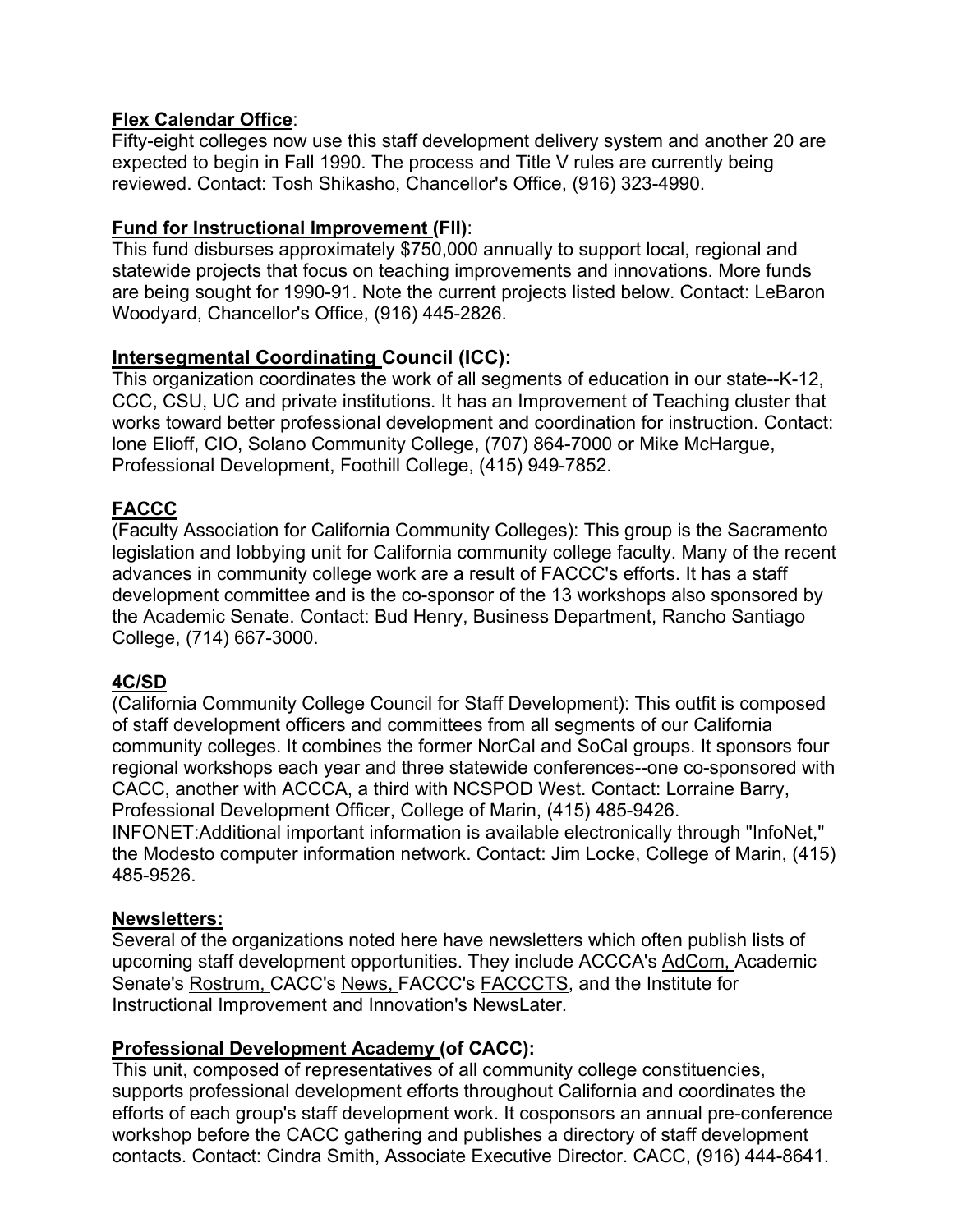## **Flex Calendar Office**:

Fifty-eight colleges now use this staff development delivery system and another 20 are expected to begin in Fall 1990. The process and Title V rules are currently being reviewed. Contact: Tosh Shikasho, Chancellor's Office, (916) 323-4990.

#### **Fund for Instructional Improvement (Fll)**:

This fund disburses approximately \$750,000 annually to support local, regional and statewide projects that focus on teaching improvements and innovations. More funds are being sought for 1990-91. Note the current projects listed below. Contact: LeBaron Woodyard, Chancellor's Office, (916) 445-2826.

## **Intersegmental Coordinating Council (ICC):**

This organization coordinates the work of all segments of education in our state--K-12, CCC, CSU, UC and private institutions. It has an Improvement of Teaching cluster that works toward better professional development and coordination for instruction. Contact: lone Elioff, CIO, Solano Community College, (707) 864-7000 or Mike McHargue, Professional Development, Foothill College, (415) 949-7852.

## **FACCC**

(Faculty Association for California Community Colleges): This group is the Sacramento legislation and lobbying unit for California community college faculty. Many of the recent advances in community college work are a result of FACCC's efforts. It has a staff development committee and is the co-sponsor of the 13 workshops also sponsored by the Academic Senate. Contact: Bud Henry, Business Department, Rancho Santiago College, (714) 667-3000.

#### **4C/SD**

(California Community College Council for Staff Development): This outfit is composed of staff development officers and committees from all segments of our California community colleges. It combines the former NorCal and SoCal groups. It sponsors four regional workshops each year and three statewide conferences--one co-sponsored with CACC, another with ACCCA, a third with NCSPOD West. Contact: Lorraine Barry, Professional Development Officer, College of Marin, (415) 485-9426.

INFONET:Additional important information is available electronically through "InfoNet," the Modesto computer information network. Contact: Jim Locke, College of Marin, (415) 485-9526.

#### **Newsletters:**

Several of the organizations noted here have newsletters which often publish lists of upcoming staff development opportunities. They include ACCCA's AdCom, Academic Senate's Rostrum, CACC's News, FACCC's FACCCTS, and the Institute for Instructional Improvement and Innovation's NewsLater.

#### **Professional Development Academy (of CACC):**

This unit, composed of representatives of all community college constituencies, supports professional development efforts throughout California and coordinates the efforts of each group's staff development work. It cosponsors an annual pre-conference workshop before the CACC gathering and publishes a directory of staff development contacts. Contact: Cindra Smith, Associate Executive Director. CACC, (916) 444-8641.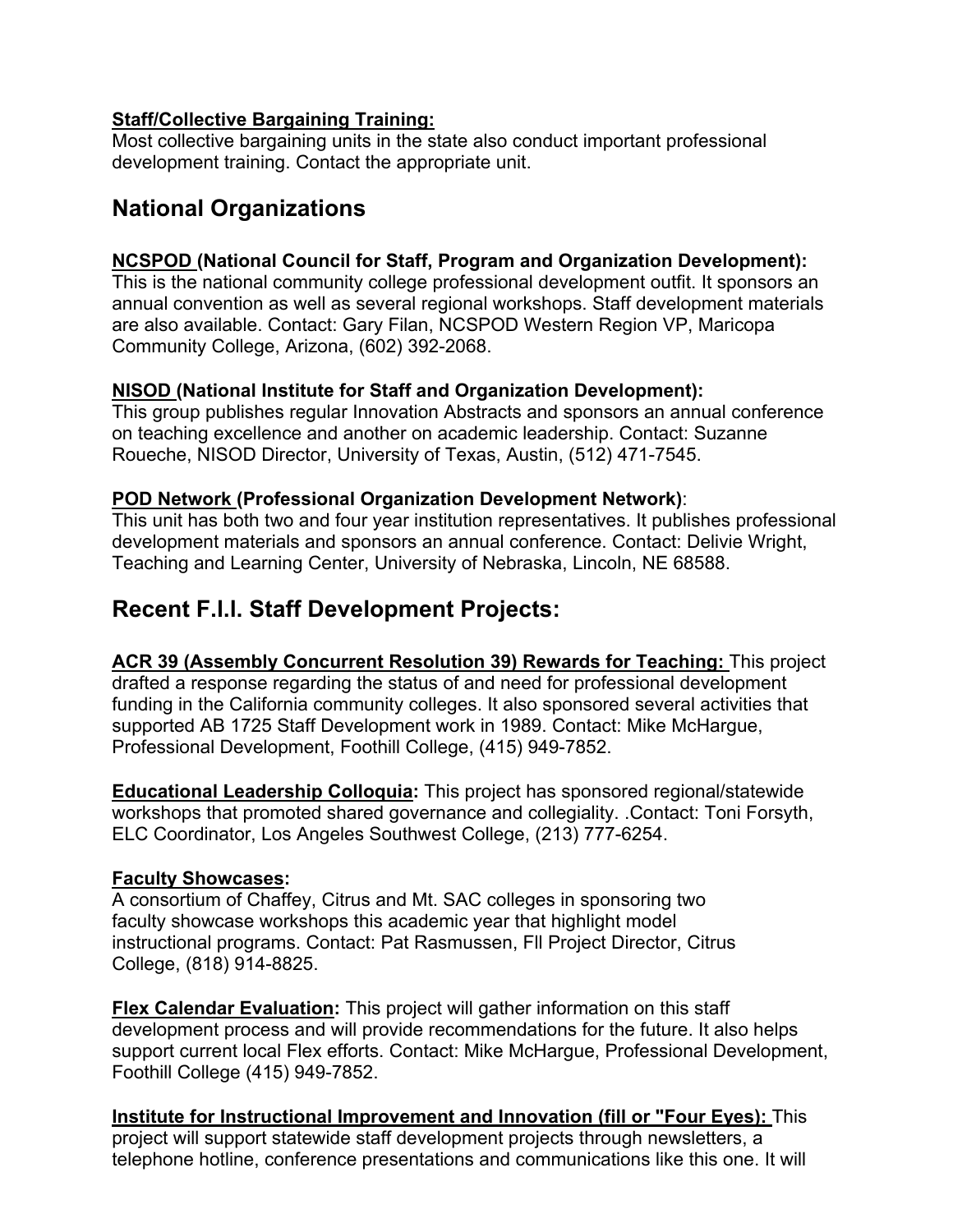## **Staff/Collective Bargaining Training:**

Most collective bargaining units in the state also conduct important professional development training. Contact the appropriate unit.

## **National Organizations**

## **NCSPOD (National Council for Staff, Program and Organization Development):**

This is the national community college professional development outfit. It sponsors an annual convention as well as several regional workshops. Staff development materials are also available. Contact: Gary Filan, NCSPOD Western Region VP, Maricopa Community College, Arizona, (602) 392-2068.

## **NISOD (National Institute for Staff and Organization Development):**

This group publishes regular Innovation Abstracts and sponsors an annual conference on teaching excellence and another on academic leadership. Contact: Suzanne Roueche, NISOD Director, University of Texas, Austin, (512) 471-7545.

## **POD Network (Professional Organization Development Network)**:

This unit has both two and four year institution representatives. It publishes professional development materials and sponsors an annual conference. Contact: Delivie Wright, Teaching and Learning Center, University of Nebraska, Lincoln, NE 68588.

# **Recent F.l.l. Staff Development Projects:**

**ACR 39 (Assembly Concurrent Resolution 39) Rewards for Teaching:** This project drafted a response regarding the status of and need for professional development funding in the California community colleges. It also sponsored several activities that supported AB 1725 Staff Development work in 1989. Contact: Mike McHargue, Professional Development, Foothill College, (415) 949-7852.

**Educational Leadership Colloquia:** This project has sponsored regional/statewide workshops that promoted shared governance and collegiality. .Contact: Toni Forsyth, ELC Coordinator, Los Angeles Southwest College, (213) 777-6254.

## **Faculty Showcases:**

A consortium of Chaffey, Citrus and Mt. SAC colleges in sponsoring two faculty showcase workshops this academic year that highlight model instructional programs. Contact: Pat Rasmussen, Fll Project Director, Citrus College, (818) 914-8825.

**Flex Calendar Evaluation:** This project will gather information on this staff development process and will provide recommendations for the future. It also helps support current local Flex efforts. Contact: Mike McHargue, Professional Development, Foothill College (415) 949-7852.

**Institute for Instructional Improvement and Innovation (fill or "Four Eyes):** This project will support statewide staff development projects through newsletters, a telephone hotline, conference presentations and communications like this one. It will